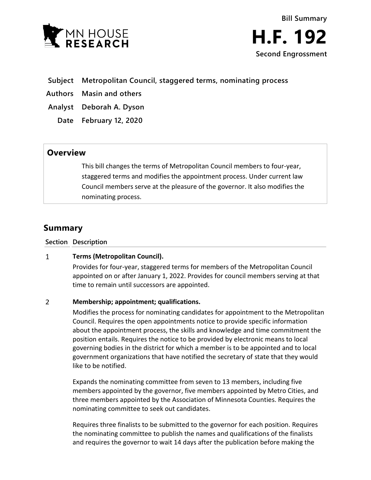

## **Subject Metropolitan Council, staggered terms, nominating process**

**Authors Masin and others**

**Analyst Deborah A. Dyson**

**Date February 12, 2020**

# **Overview**

This bill changes the terms of Metropolitan Council members to four-year, staggered terms and modifies the appointment process. Under current law Council members serve at the pleasure of the governor. It also modifies the nominating process.

# **Summary**

**Section Description**

#### $\mathbf{1}$ **Terms (Metropolitan Council).**

Provides for four-year, staggered terms for members of the Metropolitan Council appointed on or after January 1, 2022. Provides for council members serving at that time to remain until successors are appointed.

#### $\overline{2}$ **Membership; appointment; qualifications.**

Modifies the process for nominating candidates for appointment to the Metropolitan Council. Requires the open appointments notice to provide specific information about the appointment process, the skills and knowledge and time commitment the position entails. Requires the notice to be provided by electronic means to local governing bodies in the district for which a member is to be appointed and to local government organizations that have notified the secretary of state that they would like to be notified.

Expands the nominating committee from seven to 13 members, including five members appointed by the governor, five members appointed by Metro Cities, and three members appointed by the Association of Minnesota Counties. Requires the nominating committee to seek out candidates.

Requires three finalists to be submitted to the governor for each position. Requires the nominating committee to publish the names and qualifications of the finalists and requires the governor to wait 14 days after the publication before making the